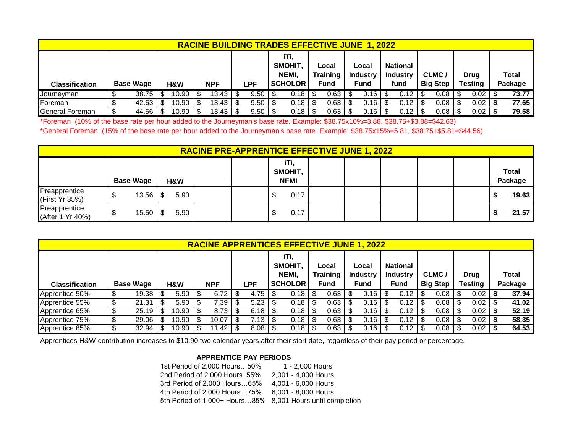|                        |                         |       |            |     |              |                                            |             |                                  | <b>RACINE BUILDING TRADES EFFECTIVE JUNE 1, 2022</b> |                                  |        |                                            |      |                          |        |                        |      |                         |             |       |
|------------------------|-------------------------|-------|------------|-----|--------------|--------------------------------------------|-------------|----------------------------------|------------------------------------------------------|----------------------------------|--------|--------------------------------------------|------|--------------------------|--------|------------------------|------|-------------------------|-------------|-------|
| <b>Classification</b>  | <b>Base Wage</b><br>H&W |       | <b>NPF</b> | LPF |              | iTi.<br>SMOHIT,<br>NEMI,<br><b>SCHOLOR</b> |             | Local<br><b>Training</b><br>Fund |                                                      | Local<br><b>Industry</b><br>Fund |        | <b>National</b><br><b>Industry</b><br>fund |      | CLMC/<br><b>Big Step</b> |        | <b>Drug</b><br>Testing |      | <b>Total</b><br>Package |             |       |
| Journeyman             |                         | 38.75 | 10.90      |     | 3.43   \$    |                                            | $9.50$   \$ |                                  | 0.18                                                 |                                  | 0.63   |                                            | 0.16 |                          | $0.12$ |                        | 0.08 | -S                      | $0.02$   \$ | 73.77 |
| Foreman                |                         | 42.63 | 10.90      |     | 13.43        |                                            | 9.50        |                                  | 0.18                                                 |                                  | 0.63   |                                            | 0.16 |                          | 0.12   |                        | 0.08 | -S                      | $0.02$   \$ | 77.65 |
| <b>General Foreman</b> |                         | 44.56 | 10.90      |     | $13.43$   \$ |                                            | 9.50        |                                  | 0.18                                                 |                                  | $0.63$ |                                            | 0.16 |                          | 0.12   |                        | 0.08 |                         | $0.02$   \$ | 79.58 |

\*Foreman (10% of the base rate per hour added to the Journeyman's base rate. Example: \$38.75x10%=3.88, \$38.75+\$3.88=\$42.63)

\*General Foreman (15% of the base rate per hour added to the Journeyman's base rate. Example: \$38.75x15%=5.81, \$38.75+\$5.81=\$44.56)

|                                   |                  |      |  | <b>RACINE PRE-APPRENTICE EFFECTIVE JUNE 1, 2022</b> |  |  |  |                         |
|-----------------------------------|------------------|------|--|-----------------------------------------------------|--|--|--|-------------------------|
|                                   | <b>Base Wage</b> | H&W  |  | iTi,<br>SMOHIT,<br><b>NEMI</b>                      |  |  |  | <b>Total</b><br>Package |
| Preapprentice<br>(First Yr 35%)   | 13.56            | 5.90 |  | 0.17                                                |  |  |  | 19.63                   |
| Preapprentice<br>(After 1 Yr 40%) | 15.50            | 5.90 |  | 0.17                                                |  |  |  | 21.57                   |

|                       | <b>RACINE APPRENTICES EFFECTIVE JUNE 1, 2022</b> |                  |   |       |   |            |   |             |  |                                 |  |                          |  |                          |      |                                    |                 |      |             |      |         |       |
|-----------------------|--------------------------------------------------|------------------|---|-------|---|------------|---|-------------|--|---------------------------------|--|--------------------------|--|--------------------------|------|------------------------------------|-----------------|------|-------------|------|---------|-------|
|                       |                                                  |                  |   |       |   |            |   |             |  | iTi,<br><b>SMOHIT.</b><br>NEMI, |  | Local<br><b>Training</b> |  | Local<br><b>Industry</b> |      | <b>National</b><br><b>Industry</b> | CLMC/           |      | <b>Drug</b> |      |         | Total |
| <b>Classification</b> |                                                  | <b>Base Wage</b> |   | H&W   |   | <b>NPF</b> |   | LPF         |  | <b>SCHOLOR</b>                  |  | Fund                     |  | Fund                     |      | <b>Fund</b>                        | <b>Big Step</b> |      | Testing     |      | Package |       |
| Apprentice 50%        |                                                  |                  |   | 5.90  |   | 6.72       |   | 4.75        |  | 0.18                            |  | 0.63                     |  | 0.16                     |      | 0.12                               |                 | 0.08 |             | 0.02 |         | 37.94 |
| Apprentice 55%        |                                                  | 21.31            | S | 5.90  | Œ | 7.39       | ◡ | 5.23        |  | 0.18                            |  | 0.63                     |  | 0.16                     | - \$ | 0.12                               |                 | 0.08 |             | 0.02 |         | 41.02 |
| Apprentice 65%        |                                                  | $25.19$   \$     |   | 10.90 |   | 8.73       |   | $6.18$   \$ |  | 0.18                            |  | 0.63                     |  | 0.16                     | - \$ | 0.12                               |                 | 0.08 |             | 0.02 |         | 52.19 |
| Apprentice 75%        |                                                  | 29.06            |   | 10.90 |   | 10.07      |   | 7.13        |  | 0.18                            |  | 0.63                     |  | 0.16                     |      | 0.12                               |                 | 0.08 |             | 0.02 |         | 58.35 |
| Apprentice 85%        |                                                  | 32.94            |   | 10.90 |   | '1.42      |   | $8.08$   \$ |  | 0.18                            |  | 0.63                     |  | 0.16                     |      | 0.12                               |                 | 0.08 |             | 0.02 |         | 64.53 |

Apprentices H&W contribution increases to \$10.90 two calendar years after their start date, regardless of their pay period or percentage.

## **APPRENTICE PAY PERIODS**

 1st Period of 2,000 Hours…50% 1 - 2,000 Hours 2nd Period of 2,000 Hours..55% 2,001 - 4,000 Hours 3rd Period of 2,000 Hours…65% 4,001 - 6,000 Hours 4th Period of 2,000 Hours…75% 6,001 - 8,000 Hours 5th Period of 1,000+ Hours…85% 8,001 Hours until completion